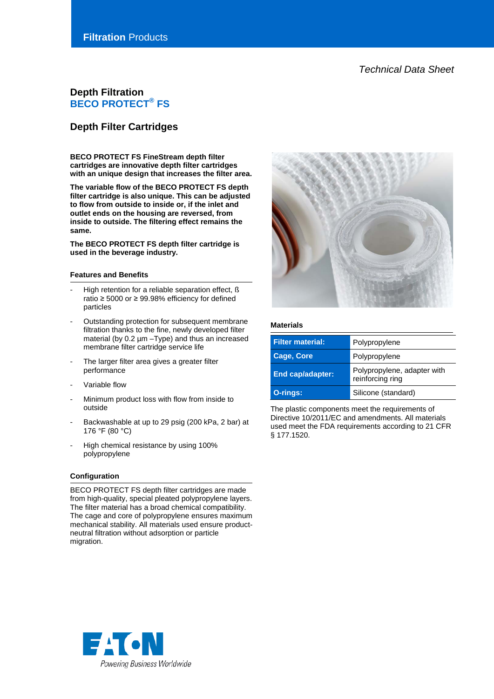*Technical Data Sheet*

# **Depth Filtration BECO PROTECT® FS**

# **Depth Filter Cartridges**

**BECO PROTECT FS FineStream depth filter cartridges are innovative depth filter cartridges with an unique design that increases the filter area.**

**The variable flow of the BECO PROTECT FS depth filter cartridge is also unique. This can be adjusted to flow from outside to inside or, if the inlet and outlet ends on the housing are reversed, from inside to outside. The filtering effect remains the same.**

**The BECO PROTECT FS depth filter cartridge is used in the beverage industry.**

#### **Features and Benefits**

- High retention for a reliable separation effect, ß ratio ≥ 5000 or ≥ 99.98% efficiency for defined particles
- Outstanding protection for subsequent membrane filtration thanks to the fine, newly developed filter material (by 0.2 µm –Type) and thus an increased membrane filter cartridge service life
- The larger filter area gives a greater filter performance
- Variable flow
- Minimum product loss with flow from inside to outside
- Backwashable at up to 29 psig (200 kPa, 2 bar) at 176 °F (80 °C)
- High chemical resistance by using 100% polypropylene

## **Configuration**

BECO PROTECT FS depth filter cartridges are made from high-quality, special pleated polypropylene layers. The filter material has a broad chemical compatibility. The cage and core of polypropylene ensures maximum mechanical stability. All materials used ensure productneutral filtration without adsorption or particle migration.



### **Materials**

| <b>Filter material:</b><br>Polypropylene |                                                 |
|------------------------------------------|-------------------------------------------------|
| Cage, Core                               | Polypropylene                                   |
| <b>End cap/adapter:</b>                  | Polypropylene, adapter with<br>reinforcing ring |
| O-rings:                                 | Silicone (standard)                             |

The plastic components meet the requirements of Directive 10/2011/EC and amendments. All materials used meet the FDA requirements according to 21 CFR § 177.1520.

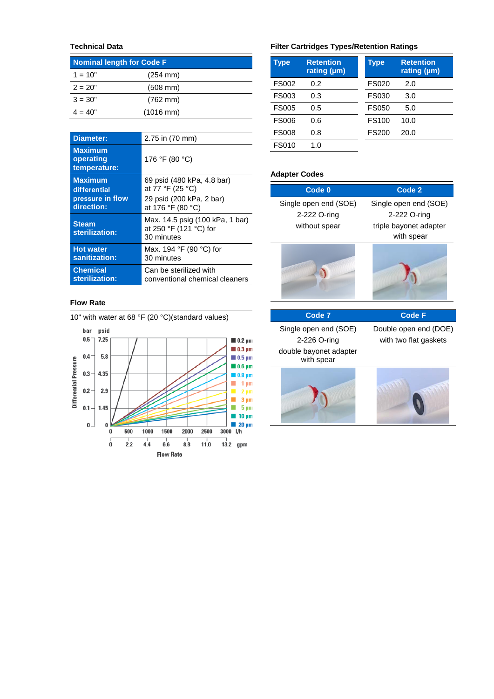# **Technical Data**

| <b>Nominal length for Code F</b> |                      |  |
|----------------------------------|----------------------|--|
| $1 = 10"$                        | $(254 \, \text{mm})$ |  |
| $2 = 20"$                        | $(508 \, \text{mm})$ |  |
| $3 = 30"$                        | $(762 \, \text{mm})$ |  |
| $4 = 40"$                        | $(1016 \text{ mm})$  |  |

| Diameter:                                   | 2.75 in (70 mm)                                                         |
|---------------------------------------------|-------------------------------------------------------------------------|
| <b>Maximum</b><br>operating<br>temperature: | 176 °F (80 °C)                                                          |
| <b>Maximum</b>                              | 69 psid (480 kPa, 4.8 bar)                                              |
| differential                                | at 77 °F (25 °C)                                                        |
| pressure in flow                            | 29 psid (200 kPa, 2 bar)                                                |
| direction:                                  | at 176 °F (80 °C)                                                       |
| <b>Steam</b><br>sterilization:              | Max. 14.5 psig (100 kPa, 1 bar)<br>at 250 °F (121 °C) for<br>30 minutes |
| <b>Hot water</b>                            | Max. 194 °F (90 °C) for                                                 |
| sanitization:                               | 30 minutes                                                              |
| <b>Chemical</b>                             | Can be sterilized with                                                  |
| sterilization:                              | conventional chemical cleaners                                          |

### **Flow Rate**



# **Filter Cartridges Types/Retention Ratings**

| Type         | <b>Retention</b><br>rating $(\mu m)$ | Type         | <b>Retention</b><br>rating $(\mu m)$ |
|--------------|--------------------------------------|--------------|--------------------------------------|
| <b>FS002</b> | 0.2                                  | <b>FS020</b> | 2.0                                  |
| FS003        | 0.3                                  | FS030        | 3.0                                  |
| <b>FS005</b> | 0.5                                  | <b>FS050</b> | 5.0                                  |
| <b>FS006</b> | 0.6                                  | <b>FS100</b> | 10.0                                 |
| <b>FS008</b> | 0.8                                  | <b>FS200</b> | 20.0                                 |
| <b>FS010</b> | 1. $\Omega$                          |              |                                      |

## **Adapter Codes**

| Code 0                               | Code 2                 |
|--------------------------------------|------------------------|
| Single open end (SOE)                | Single open end (SOE)  |
| 2-222 O-ring                         | 2-222 O-ring           |
| without spear                        | triple bayonet adapter |
|                                      | with spear             |
|                                      |                        |
|                                      |                        |
| Code <sub>7</sub>                    | Code F                 |
| Single open end (SOE)                | Double open end (DOE)  |
| 2-226 O-ring                         | with two flat gaskets  |
| double bayonet adapter<br>with spear |                        |

**Command Command Command Command**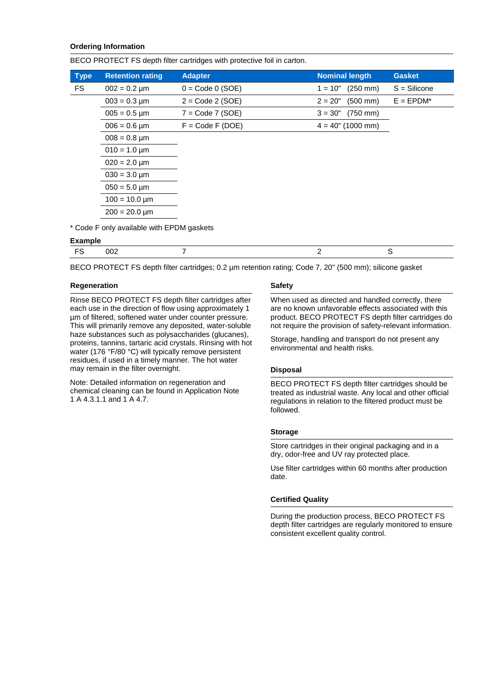## **Ordering Information**

BECO PROTECT FS depth filter cartridges with protective foil in carton.

| <b>Type</b>    | <b>Retention rating</b>                   | <b>Adapter</b>     | <b>Nominal length</b>             | <b>Gasket</b>  |
|----------------|-------------------------------------------|--------------------|-----------------------------------|----------------|
| FS             | $002 = 0.2 \mu m$                         | $0 = Code 0 (SOE)$ | $1 = 10"$ (250 mm)                | $S = Silicone$ |
|                | $003 = 0.3 \,\text{\mu m}$                | $2 = Code 2 (SOE)$ | $(500 \, \text{mm})$<br>$2 = 20"$ | $E = EPDM^*$   |
|                | $005 = 0.5 \,\text{µm}$                   | $7 = Code 7 (SOE)$ | (750 mm)<br>$3 = 30"$             |                |
|                | $006 = 0.6 \,\text{µm}$                   | $F = Code F (DOE)$ | $4 = 40" (1000 mm)$               |                |
|                | $008 = 0.8 \,\text{µm}$                   |                    |                                   |                |
|                | $010 = 1.0 \,\text{µm}$                   |                    |                                   |                |
|                | $020 = 2.0 \,\text{µm}$                   |                    |                                   |                |
|                | $030 = 3.0 \,\text{µm}$                   |                    |                                   |                |
|                | $050 = 5.0 \,\text{µm}$                   |                    |                                   |                |
|                | $100 = 10.0 \,\text{µm}$                  |                    |                                   |                |
|                | $200 = 20.0 \,\text{µm}$                  |                    |                                   |                |
| <b>Example</b> | * Code F only available with EPDM gaskets |                    |                                   |                |

| М<br>ັ<br>___ |  |  |
|---------------|--|--|
|               |  |  |

BECO PROTECT FS depth filter cartridges; 0.2 µm retention rating; Code 7, 20" (500 mm); silicone gasket

#### **Regeneration**

Rinse BECO PROTECT FS depth filter cartridges after each use in the direction of flow using approximately 1 µm of filtered, softened water under counter pressure. This will primarily remove any deposited, water-soluble haze substances such as polysaccharides (glucanes), proteins, tannins, tartaric acid crystals. Rinsing with hot water (176 °F/80 °C) will typically remove persistent residues, if used in a timely manner. The hot water may remain in the filter overnight.

Note: Detailed information on regeneration and chemical cleaning can be found in Application Note 1 A 4.3.1.1 and 1 A 4.7.

#### **Safety**

When used as directed and handled correctly, there are no known unfavorable effects associated with this product. BECO PROTECT FS depth filter cartridges do not require the provision of safety-relevant information.

Storage, handling and transport do not present any environmental and health risks.

#### **Disposal**

BECO PROTECT FS depth filter cartridges should be treated as industrial waste. Any local and other official regulations in relation to the filtered product must be followed.

#### **Storage**

Store cartridges in their original packaging and in a dry, odor-free and UV ray protected place.

Use filter cartridges within 60 months after production date.

#### **Certified Quality**

During the production process, BECO PROTECT FS depth filter cartridges are regularly monitored to ensure consistent excellent quality control.